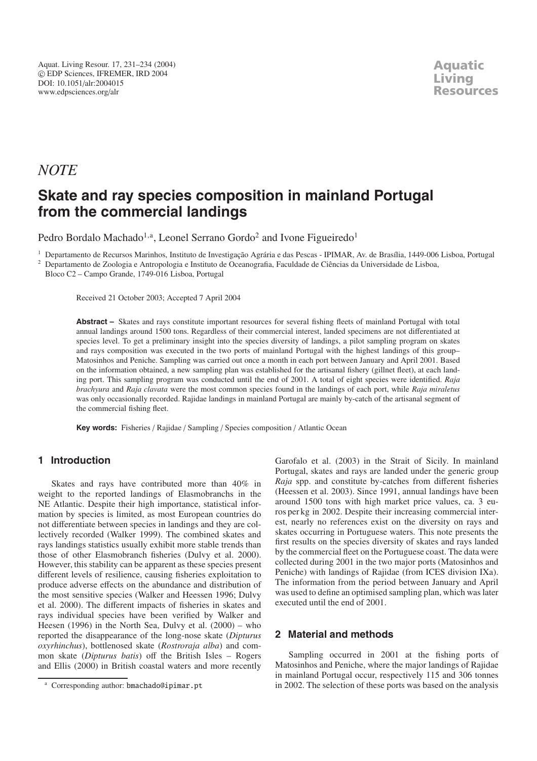## *NOTE*

# **Skate and ray species composition in mainland Portugal from the commercial landings**

Pedro Bordalo Machado<sup>1,a</sup>, Leonel Serrano Gordo<sup>2</sup> and Ivone Figueiredo<sup>1</sup>

<sup>1</sup> Departamento de Recursos Marinhos, Instituto de Investigação Agrária e das Pescas - IPIMAR, Av. de Brasília, 1449-006 Lisboa, Portugal

<sup>2</sup> Departamento de Zoologia e Antropologia e Instituto de Oceanografia, Faculdade de Ciências da Universidade de Lisboa, Bloco C2 – Campo Grande, 1749-016 Lisboa, Portugal

Received 21 October 2003; Accepted 7 April 2004

**Abstract –** Skates and rays constitute important resources for several fishing fleets of mainland Portugal with total annual landings around 1500 tons. Regardless of their commercial interest, landed specimens are not differentiated at species level. To get a preliminary insight into the species diversity of landings, a pilot sampling program on skates and rays composition was executed in the two ports of mainland Portugal with the highest landings of this group– Matosinhos and Peniche. Sampling was carried out once a month in each port between January and April 2001. Based on the information obtained, a new sampling plan was established for the artisanal fishery (gillnet fleet), at each landing port. This sampling program was conducted until the end of 2001. A total of eight species were identified. *Raja brachyura* and *Raja clavata* were the most common species found in the landings of each port, while *Raja miraletus* was only occasionally recorded. Rajidae landings in mainland Portugal are mainly by-catch of the artisanal segment of the commercial fishing fleet.

**Key words:** Fisheries / Rajidae / Sampling / Species composition / Atlantic Ocean

### **1 Introduction**

Skates and rays have contributed more than 40% in weight to the reported landings of Elasmobranchs in the NE Atlantic. Despite their high importance, statistical information by species is limited, as most European countries do not differentiate between species in landings and they are collectively recorded (Walker 1999). The combined skates and rays landings statistics usually exhibit more stable trends than those of other Elasmobranch fisheries (Dulvy et al. 2000). However, this stability can be apparent as these species present different levels of resilience, causing fisheries exploitation to produce adverse effects on the abundance and distribution of the most sensitive species (Walker and Heessen 1996; Dulvy et al. 2000). The different impacts of fisheries in skates and rays individual species have been verified by Walker and Heesen (1996) in the North Sea, Dulvy et al. (2000) – who reported the disappearance of the long-nose skate (*Dipturus oxyrhinchus*), bottlenosed skate (*Rostroraja alba*) and common skate (*Dipturus batis*) off the British Isles – Rogers and Ellis (2000) in British coastal waters and more recently

Garofalo et al. (2003) in the Strait of Sicily. In mainland Portugal, skates and rays are landed under the generic group *Raja* spp. and constitute by-catches from different fisheries (Heessen et al. 2003). Since 1991, annual landings have been around 1500 tons with high market price values, ca. 3 euros per kg in 2002. Despite their increasing commercial interest, nearly no references exist on the diversity on rays and skates occurring in Portuguese waters. This note presents the first results on the species diversity of skates and rays landed by the commercial fleet on the Portuguese coast. The data were collected during 2001 in the two major ports (Matosinhos and Peniche) with landings of Rajidae (from ICES division IXa). The information from the period between January and April was used to define an optimised sampling plan, which was later executed until the end of 2001.

#### **2 Material and methods**

Sampling occurred in 2001 at the fishing ports of Matosinhos and Peniche, where the major landings of Rajidae in mainland Portugal occur, respectively 115 and 306 tonnes in 2002. The selection of these ports was based on the analysis

<sup>&</sup>lt;sup>a</sup> Corresponding author: bmachado@ipimar.pt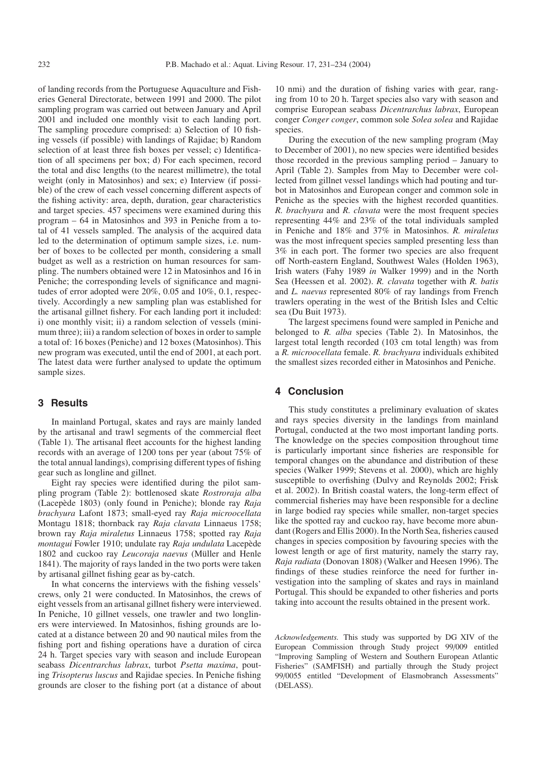of landing records from the Portuguese Aquaculture and Fisheries General Directorate, between 1991 and 2000. The pilot sampling program was carried out between January and April 2001 and included one monthly visit to each landing port. The sampling procedure comprised: a) Selection of 10 fishing vessels (if possible) with landings of Rajidae; b) Random selection of at least three fish boxes per vessel; c) Identification of all specimens per box; d) For each specimen, record the total and disc lengths (to the nearest millimetre), the total weight (only in Matosinhos) and sex; e) Interview (if possible) of the crew of each vessel concerning different aspects of the fishing activity: area, depth, duration, gear characteristics and target species. 457 specimens were examined during this program – 64 in Matosinhos and 393 in Peniche from a total of 41 vessels sampled. The analysis of the acquired data led to the determination of optimum sample sizes, i.e. number of boxes to be collected per month, considering a small budget as well as a restriction on human resources for sampling. The numbers obtained were 12 in Matosinhos and 16 in Peniche; the corresponding levels of significance and magnitudes of error adopted were 20%, 0.05 and 10%, 0.1, respectively. Accordingly a new sampling plan was established for the artisanal gillnet fishery. For each landing port it included: i) one monthly visit; ii) a random selection of vessels (minimum three); iii) a random selection of boxes in order to sample a total of: 16 boxes (Peniche) and 12 boxes (Matosinhos). This new program was executed, until the end of 2001, at each port. The latest data were further analysed to update the optimum sample sizes.

#### **3 Results**

In mainland Portugal, skates and rays are mainly landed by the artisanal and trawl segments of the commercial fleet (Table 1). The artisanal fleet accounts for the highest landing records with an average of 1200 tons per year (about 75% of the total annual landings), comprising different types of fishing gear such as longline and gillnet.

Eight ray species were identified during the pilot sampling program (Table 2): bottlenosed skate *Rostroraja alba* (Lacepède 1803) (only found in Peniche); blonde ray *Raja brachyura* Lafont 1873; small-eyed ray *Raja microocellata* Montagu 1818; thornback ray *Raja clavata* Linnaeus 1758; brown ray *Raja miraletus* Linnaeus 1758; spotted ray *Raja montagui* Fowler 1910; undulate ray *Raja undulata* Lacepède 1802 and cuckoo ray *Leucoraja naevus* (Müller and Henle 1841). The majority of rays landed in the two ports were taken by artisanal gillnet fishing gear as by-catch.

In what concerns the interviews with the fishing vessels' crews, only 21 were conducted. In Matosinhos, the crews of eight vessels from an artisanal gillnet fishery were interviewed. In Peniche, 10 gillnet vessels, one trawler and two longliners were interviewed. In Matosinhos, fishing grounds are located at a distance between 20 and 90 nautical miles from the fishing port and fishing operations have a duration of circa 24 h. Target species vary with season and include European seabass *Dicentrarchus labrax*, turbot *Psetta maxima*, pouting *Trisopterus luscus* and Rajidae species. In Peniche fishing grounds are closer to the fishing port (at a distance of about

10 nmi) and the duration of fishing varies with gear, ranging from 10 to 20 h. Target species also vary with season and comprise European seabass *Dicentrarchus labrax*, European conger *Conger conger*, common sole *Solea solea* and Rajidae species.

During the execution of the new sampling program (May to December of 2001), no new species were identified besides those recorded in the previous sampling period – January to April (Table 2). Samples from May to December were collected from gillnet vessel landings which had pouting and turbot in Matosinhos and European conger and common sole in Peniche as the species with the highest recorded quantities. *R. brachyura* and *R. clavata* were the most frequent species representing 44% and 23% of the total individuals sampled in Peniche and 18% and 37% in Matosinhos. *R. miraletus* was the most infrequent species sampled presenting less than 3% in each port. The former two species are also frequent off North-eastern England, Southwest Wales (Holden 1963), Irish waters (Fahy 1989 *in* Walker 1999) and in the North Sea (Heessen et al. 2002). *R. clavata* together with *R. batis* and *L. naevus* represented 80% of ray landings from French trawlers operating in the west of the British Isles and Celtic sea (Du Buit 1973).

The largest specimens found were sampled in Peniche and belonged to *R. alba* species (Table 2). In Matosinhos, the largest total length recorded (103 cm total length) was from a *R. microocellata* female. *R. brachyura* individuals exhibited the smallest sizes recorded either in Matosinhos and Peniche.

#### **4 Conclusion**

This study constitutes a preliminary evaluation of skates and rays species diversity in the landings from mainland Portugal, conducted at the two most important landing ports. The knowledge on the species composition throughout time is particularly important since fisheries are responsible for temporal changes on the abundance and distribution of these species (Walker 1999; Stevens et al. 2000), which are highly susceptible to overfishing (Dulvy and Reynolds 2002; Frisk et al. 2002). In British coastal waters, the long-term effect of commercial fisheries may have been responsible for a decline in large bodied ray species while smaller, non-target species like the spotted ray and cuckoo ray, have become more abundant (Rogers and Ellis 2000). In the North Sea, fisheries caused changes in species composition by favouring species with the lowest length or age of first maturity, namely the starry ray, *Raja radiata* (Donovan 1808) (Walker and Heesen 1996). The findings of these studies reinforce the need for further investigation into the sampling of skates and rays in mainland Portugal. This should be expanded to other fisheries and ports taking into account the results obtained in the present work.

*Acknowledgements.* This study was supported by DG XIV of the European Commission through Study project 99/009 entitled "Improving Sampling of Western and Southern European Atlantic Fisheries" (SAMFISH) and partially through the Study project 99/0055 entitled "Development of Elasmobranch Assessments" (DELASS).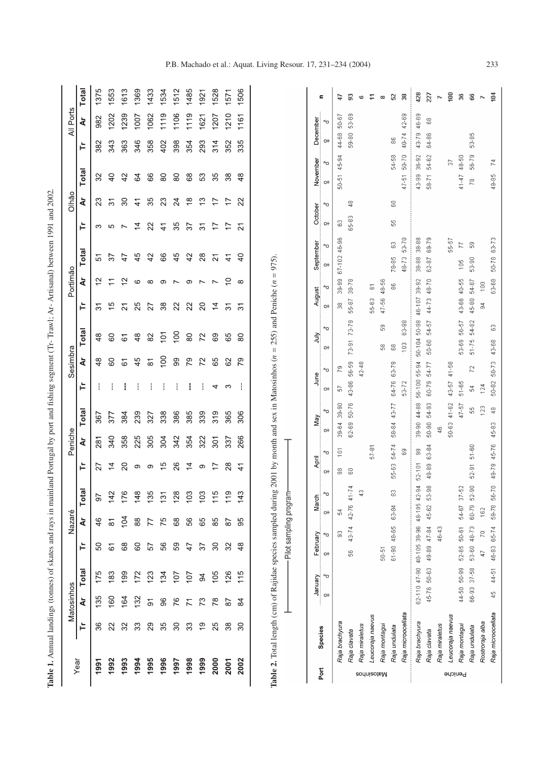|                   | Year                  | Matosinhos                         |         |                | Nazaré           |              |                  | Peniche                    |                    |              | Sesimbra            |                       |                      | Portimão                  |                            |                     | Olhão                                |                           |           | All Ports      |               |
|-------------------|-----------------------|------------------------------------|---------|----------------|------------------|--------------|------------------|----------------------------|--------------------|--------------|---------------------|-----------------------|----------------------|---------------------------|----------------------------|---------------------|--------------------------------------|---------------------------|-----------|----------------|---------------|
|                   | È                     | Total<br>ă                         |         | È              | ă                | <b>Total</b> | È                | à                          | <b>Total</b>       | È            | さ                   | <b>Total</b>          | Ĕ                    | à                         | <b>Total</b>               | È                   | à                                    | Total                     | È         | Ğ              | <b>Total</b>  |
|                   | 36<br>1991            | 175<br>135                         |         | 50             | 46               | 50           | 27               | 281                        | 367                |              | $\frac{8}{4}$       | $\frac{8}{4}$         | $\overline{5}$       | $\approx$                 | 5                          | က                   | ಔ                                    | 32                        | 382       | 982            | 1375          |
|                   | 22<br>1992            | 183<br>160                         |         | $\overline{6}$ | $\overline{8}$   | 142          | $\overline{4}$   | 340                        | 377                |              | 80                  | 60                    | $\frac{5}{3}$        | $\overline{1}$            | 57                         | 5                   | $\overline{\widetilde{\mathcal{C}}}$ | $\overline{4}$            | 343       | 1202           | 1553          |
|                   | 32<br>1993            | 199<br>164                         |         | 68             | 104              | 176          | $\overline{20}$  | 358                        | 384                |              | 61                  | 61                    | $\overline{2}$       | $\frac{2}{3}$             | $\ddot{4}$                 | $\overline{ }$      | $\infty$                             | 42                        | 363       | <b>239</b>     | 1613          |
|                   | 33<br>1994            | 172<br>132                         |         | $\rm ^{\rm o}$ | 88               | 148          | တ                | 225                        | 239                |              | 45                  | $\frac{8}{4}$         | 25                   | ဖ                         | 45                         | 4                   | $\frac{4}{4}$                        | \$                        | 346       | 1007           | 1369          |
|                   | 29<br>1995            | 123<br>$\overline{5}$              |         | 57             | 77               | 135          | တ                | 305                        | 327                |              | $\overline{\infty}$ | 82                    | 27                   | $\infty$                  | 42                         | 22                  | 35                                   | 86                        | 358       | 1062           | 1433          |
|                   | 35<br>1996            | 134<br>96                          |         | 56             | 75               | 131          | $\frac{5}{3}$    | 304                        | 338                |              | 100                 | $\sum$                | 38                   | တ                         | 66                         | $\frac{4}{1}$       | 23                                   | 80                        | 402       | 1119           | 1534          |
|                   | 30<br>1997            | $\overline{107}$<br>76             |         | 59             | 89               | 128          | 26               | 342                        | 386                |              | 99                  | 100                   | 22                   | $\overline{ }$            | 45                         | 35                  | 24                                   | 80                        | 398       | 106            | 1512          |
|                   | 33<br>1998            | $\overline{107}$<br>$\overline{7}$ |         | 47             | 56               | 103          | $\overline{4}$   | 354                        | 385                |              | 67                  | 80                    | 22                   | တ                         | 42                         | $\frac{2}{3}$       | $\frac{8}{1}$                        | 89                        | 354       | 119            | 1485          |
|                   | $\frac{6}{1}$<br>1999 | $\overline{5}$<br>73               |         | 57             | 89               | 103          | Θ                | 322                        | 339                |              | 72                  | 72                    | $\overline{c}$       | $\overline{ }$            | $^{28}$                    | $\overline{\delta}$ | <u>ლ</u>                             | 53                        | 293       | 1621           | 1921          |
|                   | 25<br>2000            | 105<br>78                          |         | $\infty$       | 85               | 115          |                  | 301                        | 319                | 4            | 65                  | 69                    | $\overline{4}$       | $\overline{ }$            | $\overline{2}$             | 17                  | Ļ                                    | 35                        | 314       | 207            | 1528          |
|                   | 38<br>2001            | 126<br>87                          |         | 32             | 87               | 119          | 28               | 337                        | 365                | က            | 62                  | 65                    | $\overline{3}$       | $\widetilde{\phantom{a}}$ | $\frac{4}{1}$              | 17                  | 17                                   | 38                        | 352       | 1210           | 1571          |
|                   | $\infty$<br>2002      | 115<br>$\frac{8}{4}$               |         | $\frac{8}{4}$  | 95               | 143          | $\frac{4}{1}$    | 266                        | 306                | ŀ            | 79                  | 80                    | $\overline{3}$       | $\infty$                  | $\Theta$                   | $\overline{21}$     | $\mathbf{z}$                         | $\frac{8}{4}$             | 335       | 1161           | 1506          |
|                   |                       |                                    |         |                |                  |              |                  |                            |                    |              |                     |                       |                      |                           |                            |                     |                                      |                           |           |                |               |
| Port              | Species               | 40<br>January<br>$\circ$           | $\circ$ | February<br>≁о | March<br>$\circ$ | 60           | ≁о<br>April<br>아 | 어                          | ≁о<br>Vay          | June<br>어    | ≁о                  | ≁о<br>YiuL<br>어       | August<br>어          | ≁о                        | September<br>≁о<br>$\circ$ | October<br>$\circ$  | ≁о                                   | November<br>≁ດ<br>$\circ$ | 어         | December<br>60 | Ξ             |
|                   | Raja brachyura        |                                    |         | S              | $\mathfrak{L}$   |              | 8                | 39-64<br>$\widetilde{\Xi}$ | $39-90$            | 5            | P.                  |                       | 8                    | 39-99                     | 67-102 46-96               | S                   |                                      | 45-94<br>$50 - 51$        | 44-68     | 50-67          | ₽             |
|                   | Raja clavata          |                                    | S,      | 43-74          | 42-76 41-7       | ₹            | 8                |                            | 50-76<br>62-69     | 43-86        | 56-59               | $73-79$<br>$73 - 91$  | 55-87                | 38-78                     |                            | 65-83               | ą                                    |                           | 59-80     | 53-69          | ຘ             |
| <b>sodnisotsM</b> | Raja miraletus        |                                    |         |                |                  | Ş            |                  |                            |                    |              | 42-48               |                       |                      |                           |                            |                     |                                      |                           |           |                | ۰             |
|                   | Leucoraja naevus      |                                    |         |                |                  |              |                  | $57 - 81$                  |                    |              |                     |                       | 56-63                | 5                         |                            |                     |                                      |                           |           |                | Ξ             |
|                   | Raja montagui         |                                    | 50-51   |                |                  |              |                  |                            |                    |              |                     | 8<br>8                | 47-56                | 48-56                     |                            |                     |                                      |                           |           |                | $\infty$      |
|                   | Raja undulata         |                                    |         | 61-90 48-65    | 63-84            | 8            | 55-63            | 54-74                      | 43-77<br>58-84     | 64-76        | 63-79               | 8                     |                      | 8                         | S<br>78-85                 | \$                  | 8                                    | 54-58                     | 8         |                | 32            |
|                   | Raja microocellata    |                                    |         |                |                  |              |                  | 8                          |                    | 53-72        |                     | 63-98<br>$\approx 10$ |                      |                           | 53-70<br>48-73             |                     |                                      | $50 - 70$<br>$47 - 51$    | $40 - 74$ | 42-69          | 38            |
|                   | Raja brachyura        | 62-110 47-90 40-105 39-96          |         |                | 48-105 42-94     |              | 52-101           | 8                          | 44-88<br>$39 - 90$ | 56-100 55-94 |                     | 50-104 50-98          | 46-107 39-92         |                           | 38-88<br>38-88             |                     |                                      | 36-92<br>43-99            | 43-79     | 46-69          | 428           |
|                   | Raja clavata          | 45-76 50-63                        |         | 49-89 47-84    | 45-62 53-98      |              | 49-89            | $50 - 90$<br>63-84         | 54-93              | 60-79        | 54-77               | 54-57<br>50-60        | 44-73                | 48-70                     | 69-79<br>62-87             |                     |                                      | 54-62<br>$58 - 71$        | 64-86     | 8              | 227           |
|                   | Raja miraletus        |                                    |         | 46-43          |                  |              |                  | $\frac{6}{4}$              |                    |              |                     |                       |                      |                           |                            |                     |                                      |                           |           |                | Z             |
|                   | Leucoraja naevus      |                                    |         |                |                  |              |                  |                            | $41 - 62$<br>50-63 | 43-57        | 41-58               |                       |                      |                           | 55-57                      |                     |                                      | 5                         |           |                | ξ             |
| Peniche           | Raja montagui         | 44-50 50-99                        |         | 52-65 50-61    | 54-67 37-52      |              |                  |                            | $47 - 57$          | $51 - 65$    |                     | 56-57<br>53-69        | 43-66                | 40-55                     | N<br>$\frac{6}{105}$       |                     |                                      | 48-50<br>$41 - 47$        |           |                | $36\,$        |
|                   | Raja undulata         | $37 - 58$<br>66-93                 |         | 53-60 48-73    | 60-79            | $52 - 90$    | $52 - 91$        | 51-60                      | 옶                  | 푽            | 2                   | 54-82<br>$51 - 75$    | 45-80                | 54-87                     | \$<br>53-90                |                     |                                      | 56-79<br>$\approx$        | 53-85     |                | $\mathbf{66}$ |
|                   | Rostroraja alba       |                                    | 47      | R              | 162              |              |                  |                            | 123                | 124          |                     |                       | $\mathfrak{F}^{\pm}$ | $\frac{8}{100}$           |                            |                     |                                      |                           |           |                | N             |
|                   | Raja microocellata    | 44-51<br>$\frac{6}{4}$             |         | 46-83 65-74    | 59-78 56-70      |              | 49-79 45-76      | 45-83                      | $\frac{8}{4}$      | 50-82 50-73  |                     | S<br>43-68            |                      | 63-68                     | 50-78 63-73                |                     |                                      | 돈<br>49-85                |           |                | ğ             |

Table 1. Annual landings (tonnes) of skates and rays in mainland Portugal by port and fishing segment (Tr- Trawl; Ar- Artisanal) between 1991 and 2002. **Table 1.** Annual landings (tonnes) of skates and rays in mainland Portugal by port and fishing segment (Tr- Trawl; Ar- Artisanal) between 1991 and 2002.

P.B. Machado et al.: Aquat. Living Resour. 17, 231–234 (2004) 233